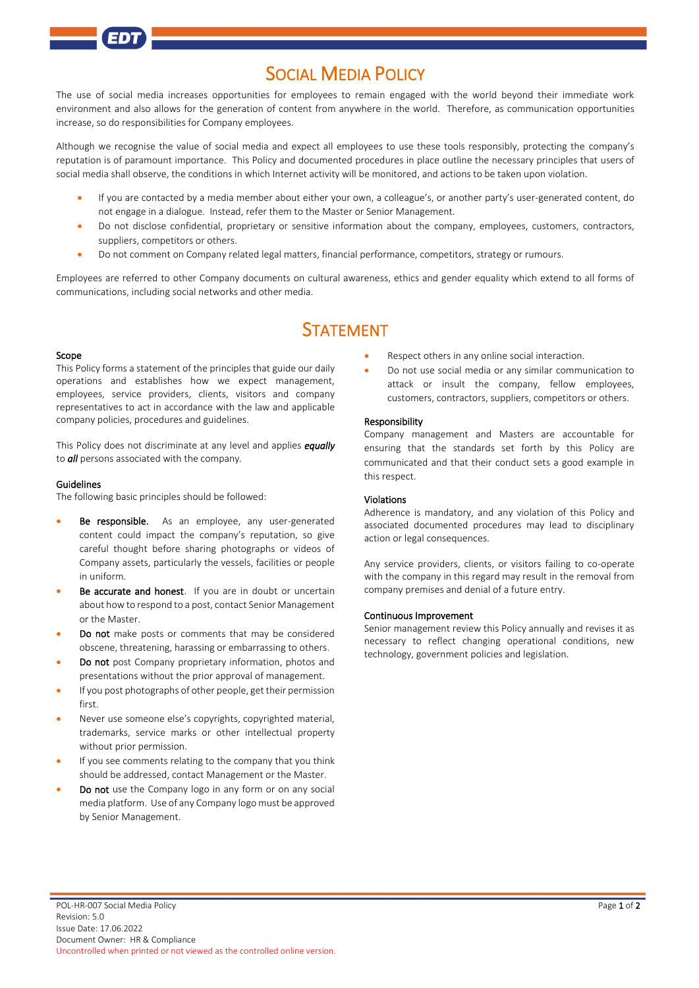## SOCIAL MEDIA POLICY

The use of social media increases opportunities for employees to remain engaged with the world beyond their immediate work environment and also allows for the generation of content from anywhere in the world. Therefore, as communication opportunities increase, so do responsibilities for Company employees.

Although we recognise the value of social media and expect all employees to use these tools responsibly, protecting the company's reputation is of paramount importance. This Policy and documented procedures in place outline the necessary principles that users of social media shall observe, the conditions in which Internet activity will be monitored, and actions to be taken upon violation.

- If you are contacted by a media member about either your own, a colleague's, or another party's user-generated content, do not engage in a dialogue. Instead, refer them to the Master or Senior Management.
- Do not disclose confidential, proprietary or sensitive information about the company, employees, customers, contractors, suppliers, competitors or others.
- Do not comment on Company related legal matters, financial performance, competitors, strategy or rumours.

Employees are referred to other Company documents on cultural awareness, ethics and gender equality which extend to all forms of communications, including social networks and other media.

# STATEMENT

#### Scope

This Policy forms a statement of the principles that guide our daily operations and establishes how we expect management, employees, service providers, clients, visitors and company representatives to act in accordance with the law and applicable company policies, procedures and guidelines.

This Policy does not discriminate at any level and applies *equally* to *all* persons associated with the company*.*

#### Guidelines

The following basic principles should be followed:

- Be responsible. As an employee, any user-generated content could impact the company's reputation, so give careful thought before sharing photographs or videos of Company assets, particularly the vessels, facilities or people in uniform.
- Be accurate and honest. If you are in doubt or uncertain about how to respond to a post, contact Senior Management or the Master.
- Do not make posts or comments that may be considered obscene, threatening, harassing or embarrassing to others.
- Do not post Company proprietary information, photos and presentations without the prior approval of management.
- If you post photographs of other people, get their permission first.
- Never use someone else's copyrights, copyrighted material, trademarks, service marks or other intellectual property without prior permission.
- If you see comments relating to the company that you think should be addressed, contact Management or the Master.
- Do not use the Company logo in any form or on any social media platform. Use of any Company logo must be approved by Senior Management.
- Respect others in any online social interaction.
- Do not use social media or any similar communication to attack or insult the company, fellow employees, customers, contractors, suppliers, competitors or others.

#### Responsibility

Company management and Masters are accountable for ensuring that the standards set forth by this Policy are communicated and that their conduct sets a good example in this respect.

#### Violations

Adherence is mandatory, and any violation of this Policy and associated documented procedures may lead to disciplinary action or legal consequences.

Any service providers, clients, or visitors failing to co-operate with the company in this regard may result in the removal from company premises and denial of a future entry.

#### Continuous Improvement

Senior management review this Policy annually and revises it as necessary to reflect changing operational conditions, new technology, government policies and legislation.